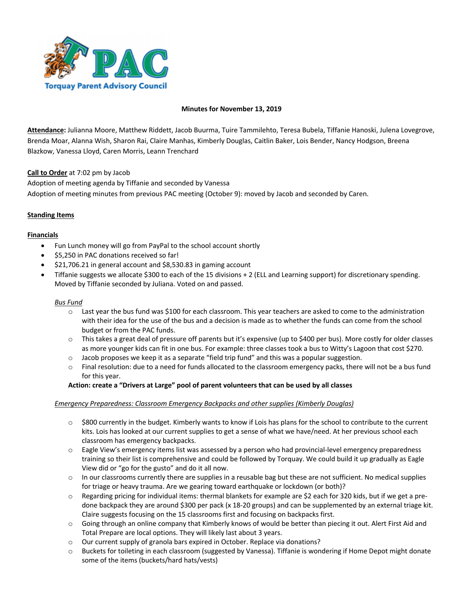

## **Minutes for November 13, 2019**

**Attendance:** Julianna Moore, Matthew Riddett, Jacob Buurma, Tuire Tammilehto, Teresa Bubela, Tiffanie Hanoski, Julena Lovegrove, Brenda Moar, Alanna Wish, Sharon Rai, Claire Manhas, Kimberly Douglas, Caitlin Baker, Lois Bender, Nancy Hodgson, Breena Blazkow, Vanessa Lloyd, Caren Morris, Leann Trenchard

**Call to Order** at 7:02 pm by Jacob

Adoption of meeting agenda by Tiffanie and seconded by Vanessa Adoption of meeting minutes from previous PAC meeting (October 9): moved by Jacob and seconded by Caren.

## **Standing Items**

## **Financials**

- Fun Lunch money will go from PayPal to the school account shortly
- \$5,250 in PAC donations received so far!
- \$21,706.21 in general account and \$8,530.83 in gaming account
- Tiffanie suggests we allocate \$300 to each of the 15 divisions + 2 (ELL and Learning support) for discretionary spending. Moved by Tiffanie seconded by Juliana. Voted on and passed.

#### *Bus Fund*

- o Last year the bus fund was \$100 for each classroom. This year teachers are asked to come to the administration with their idea for the use of the bus and a decision is made as to whether the funds can come from the school budget or from the PAC funds.
- $\circ$  This takes a great deal of pressure off parents but it's expensive (up to \$400 per bus). More costly for older classes as more younger kids can fit in one bus. For example: three classes took a bus to Witty's Lagoon that cost \$270.
- o Jacob proposes we keep it as a separate "field trip fund" and this was a popular suggestion.
- $\circ$  Final resolution: due to a need for funds allocated to the classroom emergency packs, there will not be a bus fund for this year.

## **Action: create a "Drivers at Large" pool of parent volunteers that can be used by all classes**

## *Emergency Preparedness: Classroom Emergency Backpacks and other supplies (Kimberly Douglas)*

- $\circ$  \$800 currently in the budget. Kimberly wants to know if Lois has plans for the school to contribute to the current kits. Lois has looked at our current supplies to get a sense of what we have/need. At her previous school each classroom has emergency backpacks.
- o Eagle View's emergency items list was assessed by a person who had provincial-level emergency preparedness training so their list is comprehensive and could be followed by Torquay. We could build it up gradually as Eagle View did or "go for the gusto" and do it all now.
- $\circ$  In our classrooms currently there are supplies in a reusable bag but these are not sufficient. No medical supplies for triage or heavy trauma. Are we gearing toward earthquake or lockdown (or both)?
- $\circ$  Regarding pricing for individual items: thermal blankets for example are \$2 each for 320 kids, but if we get a predone backpack they are around \$300 per pack (x 18-20 groups) and can be supplemented by an external triage kit. Claire suggests focusing on the 15 classrooms first and focusing on backpacks first.
- o Going through an online company that Kimberly knows of would be better than piecing it out. Alert First Aid and Total Prepare are local options. They will likely last about 3 years.
- $\circ$  Our current supply of granola bars expired in October. Replace via donations?
- o Buckets for toileting in each classroom (suggested by Vanessa). Tiffanie is wondering if Home Depot might donate some of the items (buckets/hard hats/vests)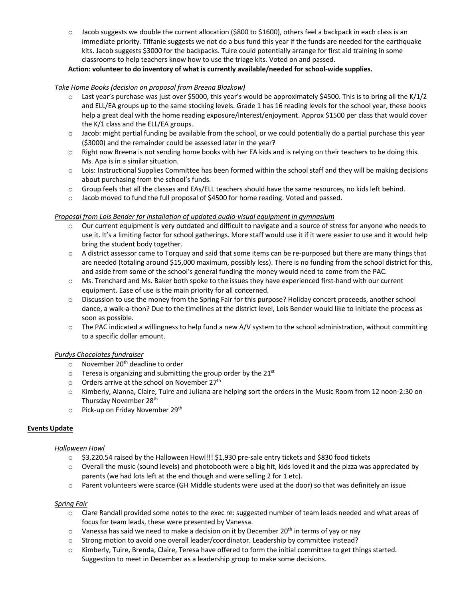$\circ$  Jacob suggests we double the current allocation (\$800 to \$1600), others feel a backpack in each class is an immediate priority. Tiffanie suggests we not do a bus fund this year if the funds are needed for the earthquake kits. Jacob suggests \$3000 for the backpacks. Tuire could potentially arrange for first aid training in some classrooms to help teachers know how to use the triage kits. Voted on and passed.

# **Action: volunteer to do inventory of what is currently available/needed for school-wide supplies.**

# *Take Home Books (decision on proposal from Breena Blazkow)*

- $\circ$  Last year's purchase was just over \$5000, this year's would be approximately \$4500. This is to bring all the K/1/2 and ELL/EA groups up to the same stocking levels. Grade 1 has 16 reading levels for the school year, these books help a great deal with the home reading exposure/interest/enjoyment. Approx \$1500 per class that would cover the K/1 class and the ELL/EA groups.
- o Jacob: might partial funding be available from the school, or we could potentially do a partial purchase this year (\$3000) and the remainder could be assessed later in the year?
- o Right now Breena is not sending home books with her EA kids and is relying on their teachers to be doing this. Ms. Apa is in a similar situation.
- o Lois: Instructional Supplies Committee has been formed within the school staff and they will be making decisions about purchasing from the school's funds.
- $\circ$  Group feels that all the classes and EAs/ELL teachers should have the same resources, no kids left behind.
- o Jacob moved to fund the full proposal of \$4500 for home reading. Voted and passed.

## *Proposal from Lois Bender for installation of updated audio-visual equipment in gymnasium*

- $\circ$  Our current equipment is very outdated and difficult to navigate and a source of stress for anyone who needs to use it. It's a limiting factor for school gatherings. More staff would use it if it were easier to use and it would help bring the student body together.
- o A district assessor came to Torquay and said that some items can be re-purposed but there are many things that are needed (totaling around \$15,000 maximum, possibly less). There is no funding from the school district for this, and aside from some of the school's general funding the money would need to come from the PAC.
- o Ms. Trenchard and Ms. Baker both spoke to the issues they have experienced first-hand with our current equipment. Ease of use is the main priority for all concerned.
- o Discussion to use the money from the Spring Fair for this purpose? Holiday concert proceeds, another school dance, a walk-a-thon? Due to the timelines at the district level, Lois Bender would like to initiate the process as soon as possible.
- $\circ$  The PAC indicated a willingness to help fund a new A/V system to the school administration, without committing to a specific dollar amount.

## *Purdys Chocolates fundraiser*

- $\circ$  November 20<sup>th</sup> deadline to order
- $\circ$  Teresa is organizing and submitting the group order by the 21st
- $\circ$  Orders arrive at the school on November 27<sup>th</sup>
- o Kimberly, Alanna, Claire, Tuire and Juliana are helping sort the orders in the Music Room from 12 noon-2:30 on Thursday November 28<sup>th</sup>
- o Pick-up on Friday November 29th

# **Events Update**

## *Halloween Howl*

- o \$3,220.54 raised by the Halloween Howl!!! \$1,930 pre-sale entry tickets and \$830 food tickets
- $\circ$  Overall the music (sound levels) and photobooth were a big hit, kids loved it and the pizza was appreciated by parents (we had lots left at the end though and were selling 2 for 1 etc).
- o Parent volunteers were scarce (GH Middle students were used at the door) so that was definitely an issue

## *Spring Fair*

- o Clare Randall provided some notes to the exec re: suggested number of team leads needed and what areas of focus for team leads, these were presented by Vanessa.
- $\circ$  Vanessa has said we need to make a decision on it by December 20<sup>th</sup> in terms of yay or nay
- o Strong motion to avoid one overall leader/coordinator. Leadership by committee instead?
- $\circ$  Kimberly, Tuire, Brenda, Claire, Teresa have offered to form the initial committee to get things started. Suggestion to meet in December as a leadership group to make some decisions.